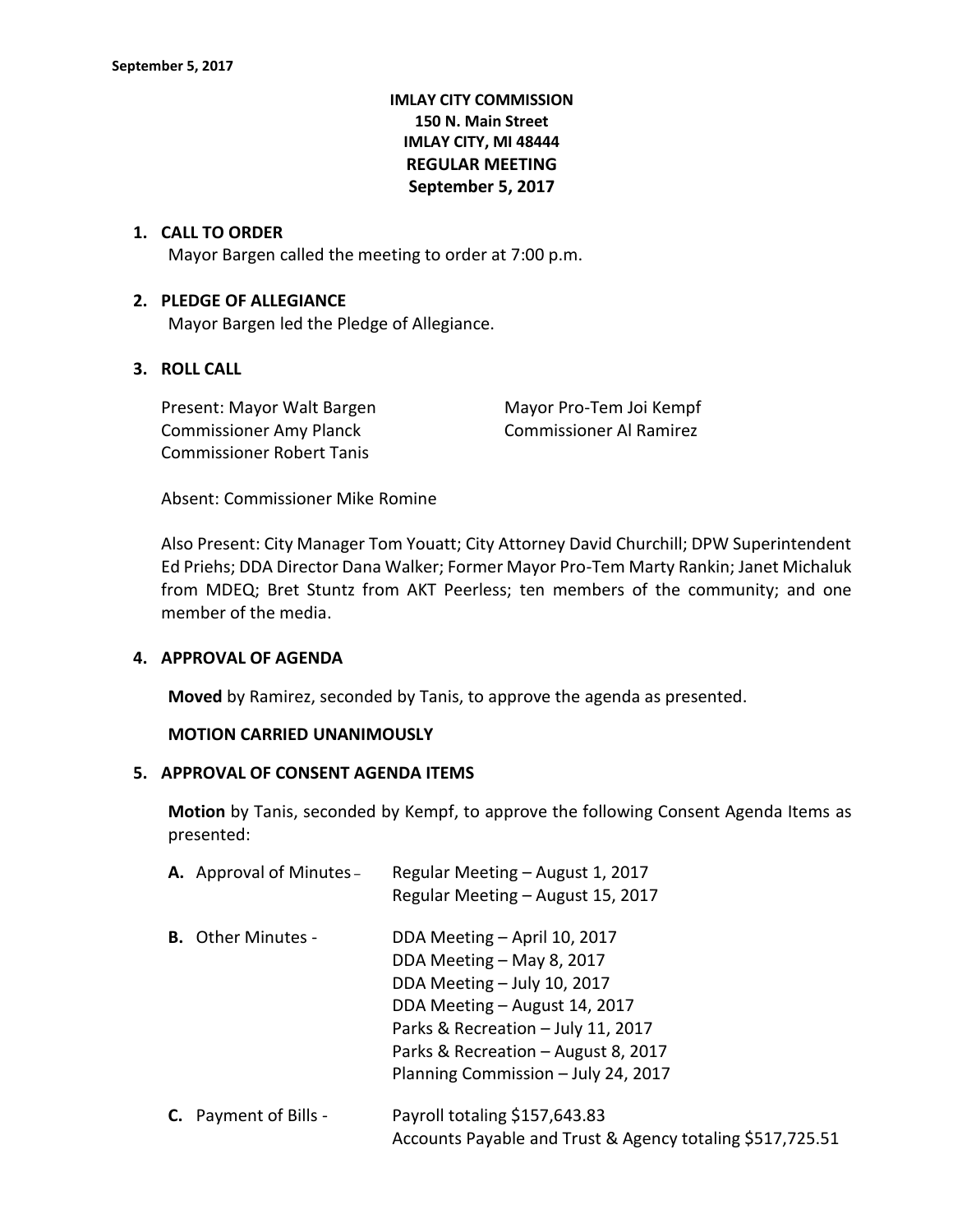# **IMLAY CITY COMMISSION 150 N. Main Street IMLAY CITY, MI 48444 REGULAR MEETING September 5, 2017**

#### **1. CALL TO ORDER**

Mayor Bargen called the meeting to order at 7:00 p.m.

#### **2. PLEDGE OF ALLEGIANCE**

Mayor Bargen led the Pledge of Allegiance.

# **3. ROLL CALL**

Present: Mayor Walt Bargen Mayor Pro-Tem Joi Kempf Commissioner Amy Planck Commissioner Al Ramirez Commissioner Robert Tanis

Absent: Commissioner Mike Romine

Also Present: City Manager Tom Youatt; City Attorney David Churchill; DPW Superintendent Ed Priehs; DDA Director Dana Walker; Former Mayor Pro-Tem Marty Rankin; Janet Michaluk from MDEQ; Bret Stuntz from AKT Peerless; ten members of the community; and one member of the media.

#### **4. APPROVAL OF AGENDA**

**Moved** by Ramirez, seconded by Tanis, to approve the agenda as presented.

#### **MOTION CARRIED UNANIMOUSLY**

#### **5. APPROVAL OF CONSENT AGENDA ITEMS**

**Motion** by Tanis, seconded by Kempf, to approve the following Consent Agenda Items as presented:

|    | <b>A.</b> Approval of Minutes - | Regular Meeting - August 1, 2017<br>Regular Meeting - August 15, 2017                                                                                                                                                                         |
|----|---------------------------------|-----------------------------------------------------------------------------------------------------------------------------------------------------------------------------------------------------------------------------------------------|
|    | <b>B.</b> Other Minutes -       | DDA Meeting - April 10, 2017<br>DDA Meeting - May 8, 2017<br>DDA Meeting - July 10, 2017<br>DDA Meeting - August 14, 2017<br>Parks & Recreation - July 11, 2017<br>Parks & Recreation - August 8, 2017<br>Planning Commission - July 24, 2017 |
| C. | Payment of Bills -              | Payroll totaling \$157,643.83                                                                                                                                                                                                                 |

Accounts Payable and Trust & Agency totaling \$517,725.51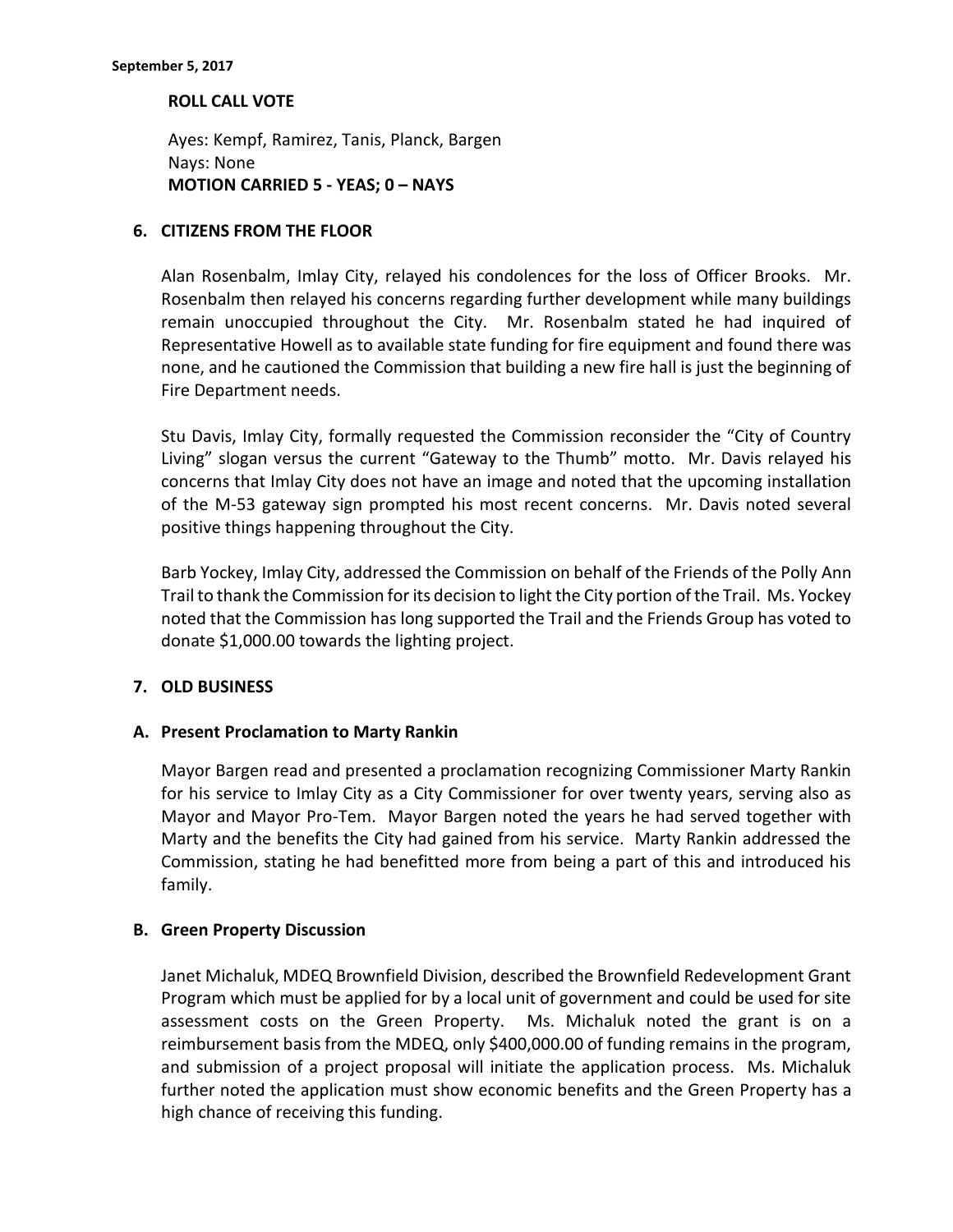#### **ROLL CALL VOTE**

Ayes: Kempf, Ramirez, Tanis, Planck, Bargen Nays: None **MOTION CARRIED 5 - YEAS; 0 – NAYS**

#### **6. CITIZENS FROM THE FLOOR**

Alan Rosenbalm, Imlay City, relayed his condolences for the loss of Officer Brooks. Mr. Rosenbalm then relayed his concerns regarding further development while many buildings remain unoccupied throughout the City. Mr. Rosenbalm stated he had inquired of Representative Howell as to available state funding for fire equipment and found there was none, and he cautioned the Commission that building a new fire hall is just the beginning of Fire Department needs.

Stu Davis, Imlay City, formally requested the Commission reconsider the "City of Country Living" slogan versus the current "Gateway to the Thumb" motto. Mr. Davis relayed his concerns that Imlay City does not have an image and noted that the upcoming installation of the M-53 gateway sign prompted his most recent concerns. Mr. Davis noted several positive things happening throughout the City.

Barb Yockey, Imlay City, addressed the Commission on behalf of the Friends of the Polly Ann Trail to thank the Commission for its decision to light the City portion of the Trail. Ms. Yockey noted that the Commission has long supported the Trail and the Friends Group has voted to donate \$1,000.00 towards the lighting project.

## **7. OLD BUSINESS**

## **A. Present Proclamation to Marty Rankin**

Mayor Bargen read and presented a proclamation recognizing Commissioner Marty Rankin for his service to Imlay City as a City Commissioner for over twenty years, serving also as Mayor and Mayor Pro-Tem. Mayor Bargen noted the years he had served together with Marty and the benefits the City had gained from his service. Marty Rankin addressed the Commission, stating he had benefitted more from being a part of this and introduced his family.

#### **B. Green Property Discussion**

Janet Michaluk, MDEQ Brownfield Division, described the Brownfield Redevelopment Grant Program which must be applied for by a local unit of government and could be used for site assessment costs on the Green Property. Ms. Michaluk noted the grant is on a reimbursement basis from the MDEQ, only \$400,000.00 of funding remains in the program, and submission of a project proposal will initiate the application process. Ms. Michaluk further noted the application must show economic benefits and the Green Property has a high chance of receiving this funding.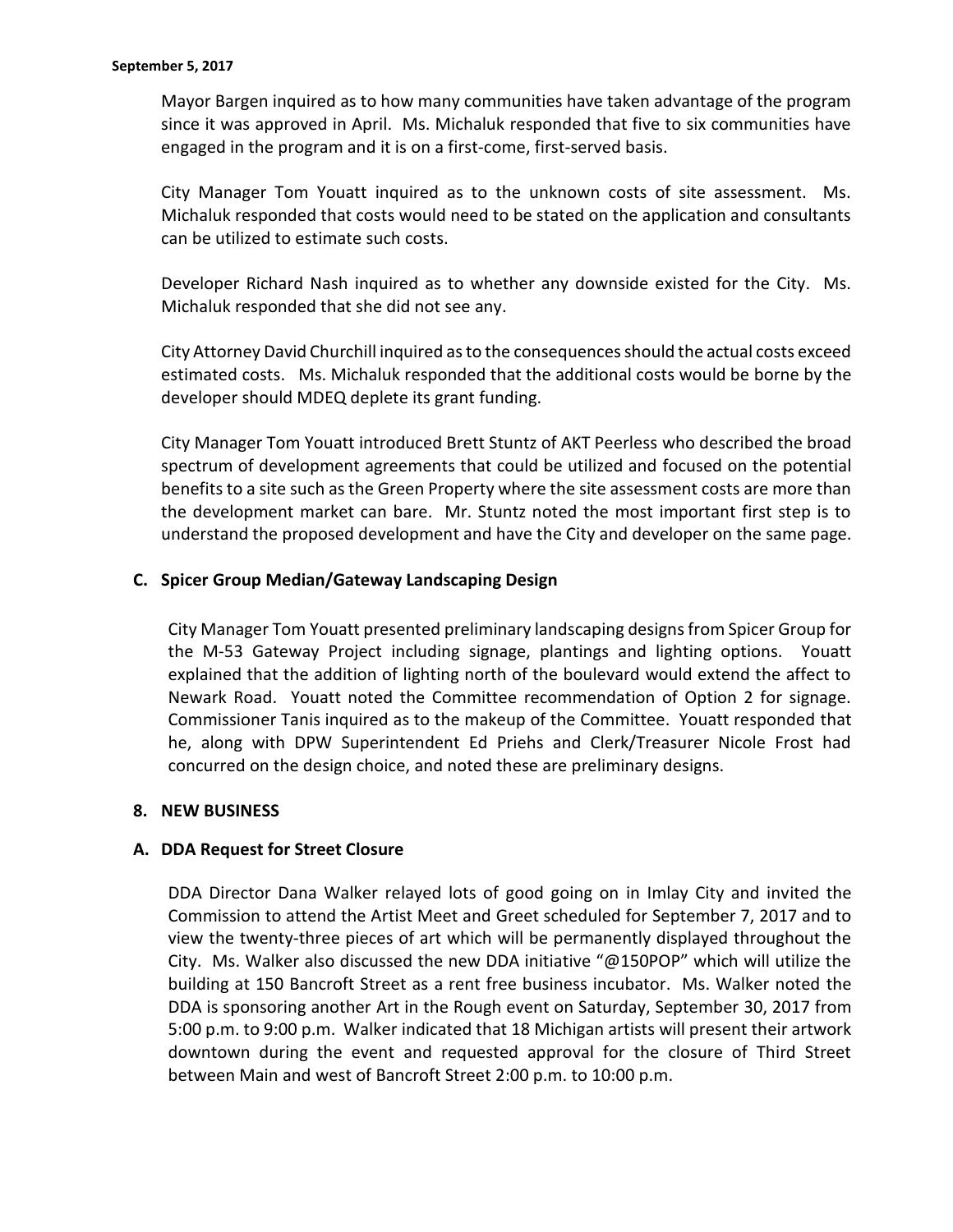Mayor Bargen inquired as to how many communities have taken advantage of the program since it was approved in April. Ms. Michaluk responded that five to six communities have engaged in the program and it is on a first-come, first-served basis.

City Manager Tom Youatt inquired as to the unknown costs of site assessment. Ms. Michaluk responded that costs would need to be stated on the application and consultants can be utilized to estimate such costs.

Developer Richard Nash inquired as to whether any downside existed for the City. Ms. Michaluk responded that she did not see any.

City Attorney David Churchill inquired as to the consequences should the actual costs exceed estimated costs. Ms. Michaluk responded that the additional costs would be borne by the developer should MDEQ deplete its grant funding.

City Manager Tom Youatt introduced Brett Stuntz of AKT Peerless who described the broad spectrum of development agreements that could be utilized and focused on the potential benefits to a site such as the Green Property where the site assessment costs are more than the development market can bare. Mr. Stuntz noted the most important first step is to understand the proposed development and have the City and developer on the same page.

# **C. Spicer Group Median/Gateway Landscaping Design**

City Manager Tom Youatt presented preliminary landscaping designs from Spicer Group for the M-53 Gateway Project including signage, plantings and lighting options. Youatt explained that the addition of lighting north of the boulevard would extend the affect to Newark Road. Youatt noted the Committee recommendation of Option 2 for signage. Commissioner Tanis inquired as to the makeup of the Committee. Youatt responded that he, along with DPW Superintendent Ed Priehs and Clerk/Treasurer Nicole Frost had concurred on the design choice, and noted these are preliminary designs.

## **8. NEW BUSINESS**

## **A. DDA Request for Street Closure**

DDA Director Dana Walker relayed lots of good going on in Imlay City and invited the Commission to attend the Artist Meet and Greet scheduled for September 7, 2017 and to view the twenty-three pieces of art which will be permanently displayed throughout the City. Ms. Walker also discussed the new DDA initiative "@150POP" which will utilize the building at 150 Bancroft Street as a rent free business incubator. Ms. Walker noted the DDA is sponsoring another Art in the Rough event on Saturday, September 30, 2017 from 5:00 p.m. to 9:00 p.m. Walker indicated that 18 Michigan artists will present their artwork downtown during the event and requested approval for the closure of Third Street between Main and west of Bancroft Street 2:00 p.m. to 10:00 p.m.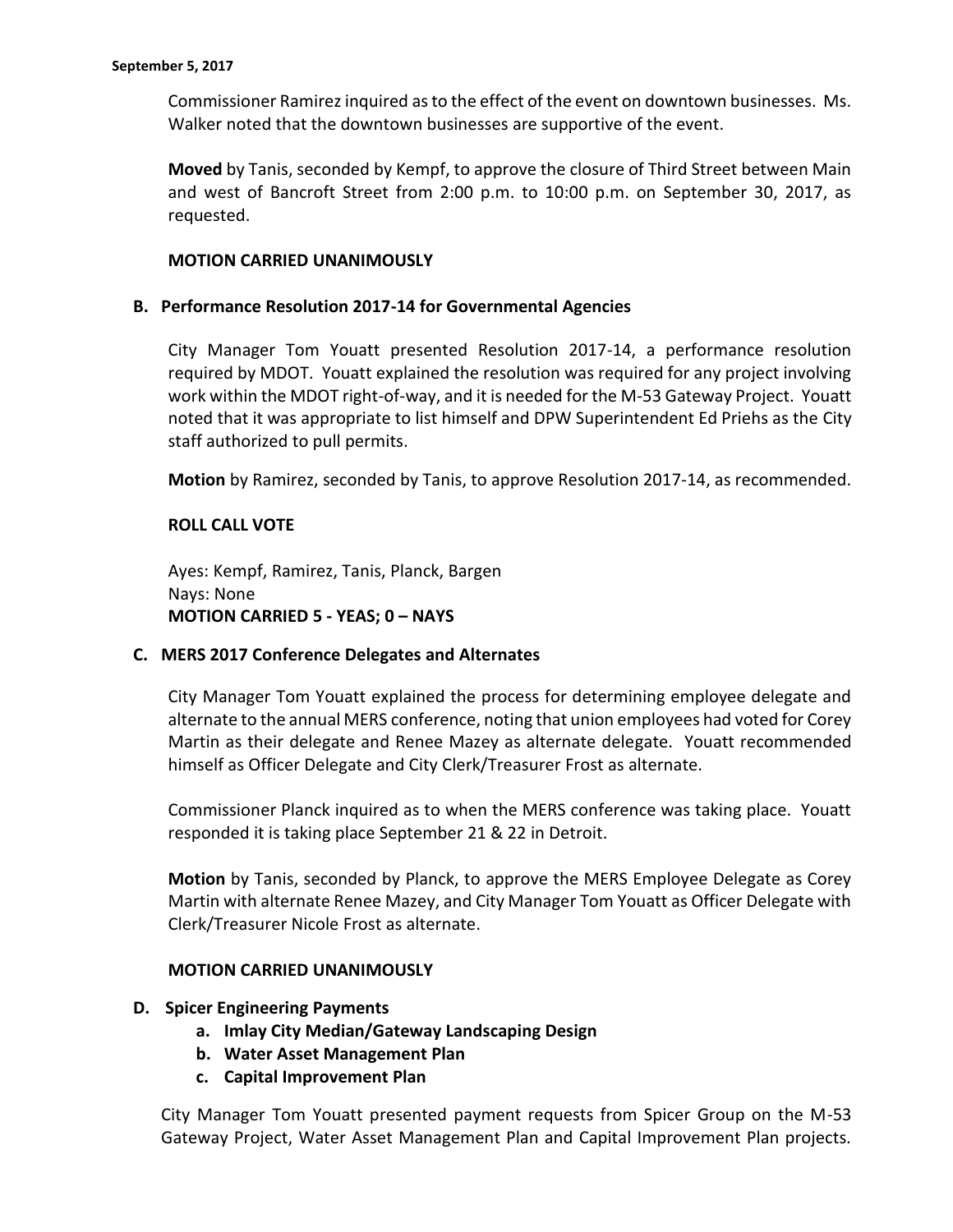Commissioner Ramirez inquired as to the effect of the event on downtown businesses. Ms. Walker noted that the downtown businesses are supportive of the event.

**Moved** by Tanis, seconded by Kempf, to approve the closure of Third Street between Main and west of Bancroft Street from 2:00 p.m. to 10:00 p.m. on September 30, 2017, as requested.

#### **MOTION CARRIED UNANIMOUSLY**

#### **B. Performance Resolution 2017-14 for Governmental Agencies**

City Manager Tom Youatt presented Resolution 2017-14, a performance resolution required by MDOT. Youatt explained the resolution was required for any project involving work within the MDOT right-of-way, and it is needed for the M-53 Gateway Project. Youatt noted that it was appropriate to list himself and DPW Superintendent Ed Priehs as the City staff authorized to pull permits.

**Motion** by Ramirez, seconded by Tanis, to approve Resolution 2017-14, as recommended.

## **ROLL CALL VOTE**

Ayes: Kempf, Ramirez, Tanis, Planck, Bargen Nays: None **MOTION CARRIED 5 - YEAS; 0 – NAYS**

## **C. MERS 2017 Conference Delegates and Alternates**

City Manager Tom Youatt explained the process for determining employee delegate and alternate to the annual MERS conference, noting that union employees had voted for Corey Martin as their delegate and Renee Mazey as alternate delegate. Youatt recommended himself as Officer Delegate and City Clerk/Treasurer Frost as alternate.

Commissioner Planck inquired as to when the MERS conference was taking place. Youatt responded it is taking place September 21 & 22 in Detroit.

**Motion** by Tanis, seconded by Planck, to approve the MERS Employee Delegate as Corey Martin with alternate Renee Mazey, and City Manager Tom Youatt as Officer Delegate with Clerk/Treasurer Nicole Frost as alternate.

#### **MOTION CARRIED UNANIMOUSLY**

#### **D. Spicer Engineering Payments**

- **a. Imlay City Median/Gateway Landscaping Design**
- **b. Water Asset Management Plan**
- **c. Capital Improvement Plan**

City Manager Tom Youatt presented payment requests from Spicer Group on the M-53 Gateway Project, Water Asset Management Plan and Capital Improvement Plan projects.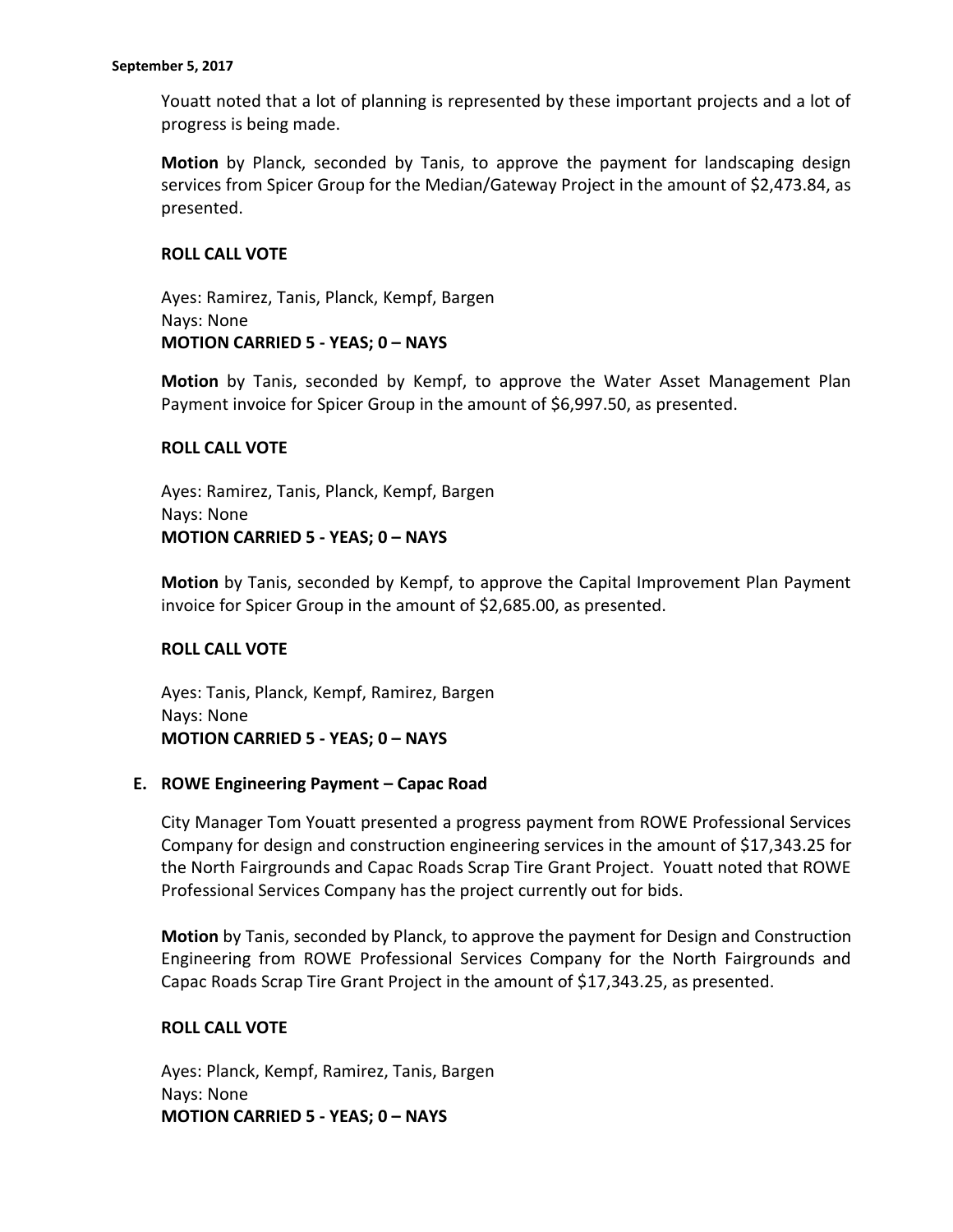Youatt noted that a lot of planning is represented by these important projects and a lot of progress is being made.

**Motion** by Planck, seconded by Tanis, to approve the payment for landscaping design services from Spicer Group for the Median/Gateway Project in the amount of \$2,473.84, as presented.

## **ROLL CALL VOTE**

Ayes: Ramirez, Tanis, Planck, Kempf, Bargen Nays: None **MOTION CARRIED 5 - YEAS; 0 – NAYS**

**Motion** by Tanis, seconded by Kempf, to approve the Water Asset Management Plan Payment invoice for Spicer Group in the amount of \$6,997.50, as presented.

## **ROLL CALL VOTE**

Ayes: Ramirez, Tanis, Planck, Kempf, Bargen Nays: None **MOTION CARRIED 5 - YEAS; 0 – NAYS**

**Motion** by Tanis, seconded by Kempf, to approve the Capital Improvement Plan Payment invoice for Spicer Group in the amount of \$2,685.00, as presented.

# **ROLL CALL VOTE**

Ayes: Tanis, Planck, Kempf, Ramirez, Bargen Nays: None **MOTION CARRIED 5 - YEAS; 0 – NAYS**

## **E. ROWE Engineering Payment – Capac Road**

City Manager Tom Youatt presented a progress payment from ROWE Professional Services Company for design and construction engineering services in the amount of \$17,343.25 for the North Fairgrounds and Capac Roads Scrap Tire Grant Project. Youatt noted that ROWE Professional Services Company has the project currently out for bids.

**Motion** by Tanis, seconded by Planck, to approve the payment for Design and Construction Engineering from ROWE Professional Services Company for the North Fairgrounds and Capac Roads Scrap Tire Grant Project in the amount of \$17,343.25, as presented.

## **ROLL CALL VOTE**

Ayes: Planck, Kempf, Ramirez, Tanis, Bargen Nays: None **MOTION CARRIED 5 - YEAS; 0 – NAYS**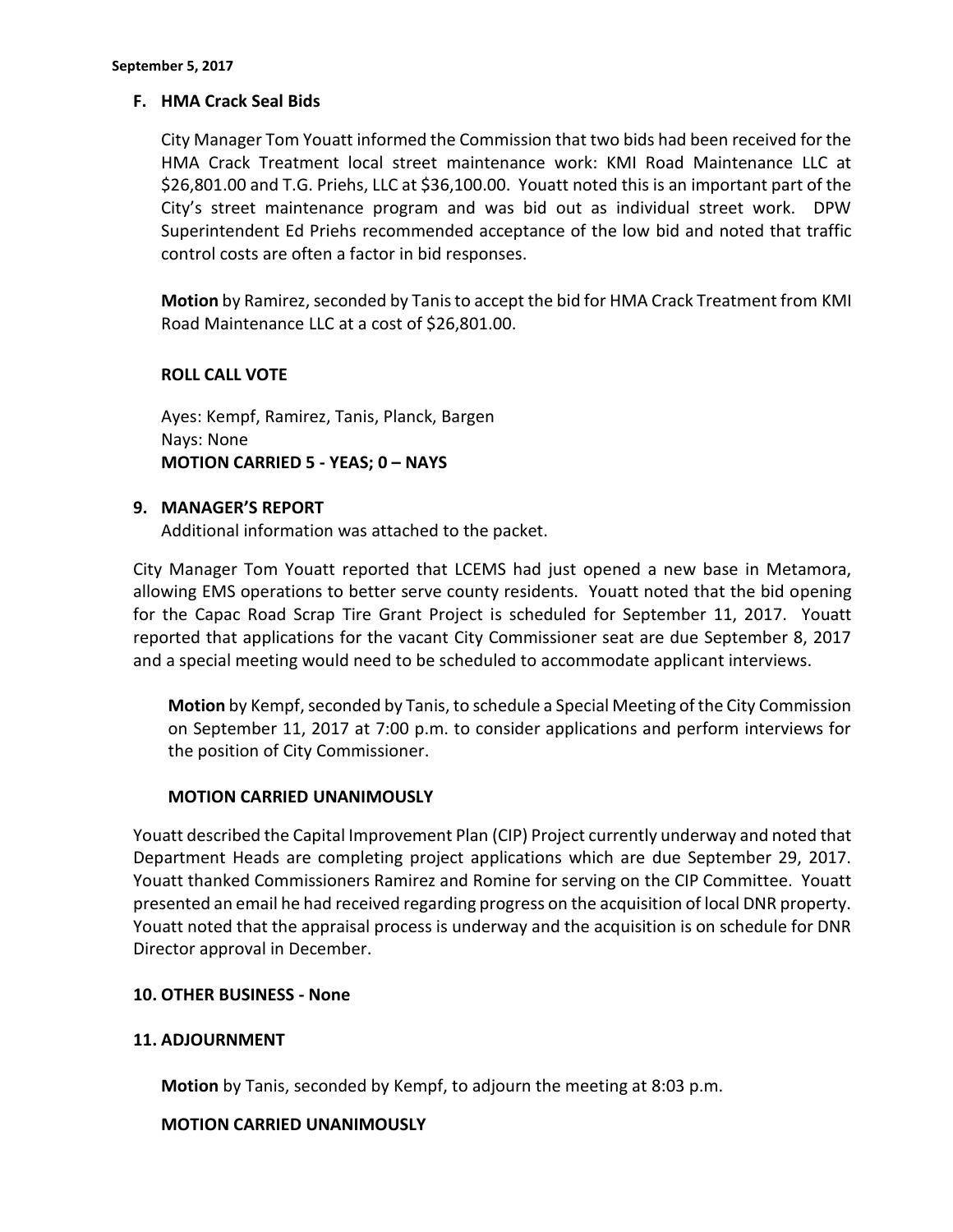## **F. HMA Crack Seal Bids**

City Manager Tom Youatt informed the Commission that two bids had been received for the HMA Crack Treatment local street maintenance work: KMI Road Maintenance LLC at \$26,801.00 and T.G. Priehs, LLC at \$36,100.00. Youatt noted this is an important part of the City's street maintenance program and was bid out as individual street work. DPW Superintendent Ed Priehs recommended acceptance of the low bid and noted that traffic control costs are often a factor in bid responses.

**Motion** by Ramirez, seconded by Tanis to accept the bid for HMA Crack Treatment from KMI Road Maintenance LLC at a cost of \$26,801.00.

#### **ROLL CALL VOTE**

Ayes: Kempf, Ramirez, Tanis, Planck, Bargen Nays: None **MOTION CARRIED 5 - YEAS; 0 – NAYS**

## **9. MANAGER'S REPORT**

Additional information was attached to the packet.

City Manager Tom Youatt reported that LCEMS had just opened a new base in Metamora, allowing EMS operations to better serve county residents. Youatt noted that the bid opening for the Capac Road Scrap Tire Grant Project is scheduled for September 11, 2017. Youatt reported that applications for the vacant City Commissioner seat are due September 8, 2017 and a special meeting would need to be scheduled to accommodate applicant interviews.

**Motion** by Kempf, seconded by Tanis, to schedule a Special Meeting of the City Commission on September 11, 2017 at 7:00 p.m. to consider applications and perform interviews for the position of City Commissioner.

## **MOTION CARRIED UNANIMOUSLY**

Youatt described the Capital Improvement Plan (CIP) Project currently underway and noted that Department Heads are completing project applications which are due September 29, 2017. Youatt thanked Commissioners Ramirez and Romine for serving on the CIP Committee. Youatt presented an email he had received regarding progress on the acquisition of local DNR property. Youatt noted that the appraisal process is underway and the acquisition is on schedule for DNR Director approval in December.

#### **10. OTHER BUSINESS - None**

## **11. ADJOURNMENT**

**Motion** by Tanis, seconded by Kempf, to adjourn the meeting at 8:03 p.m.

## **MOTION CARRIED UNANIMOUSLY**